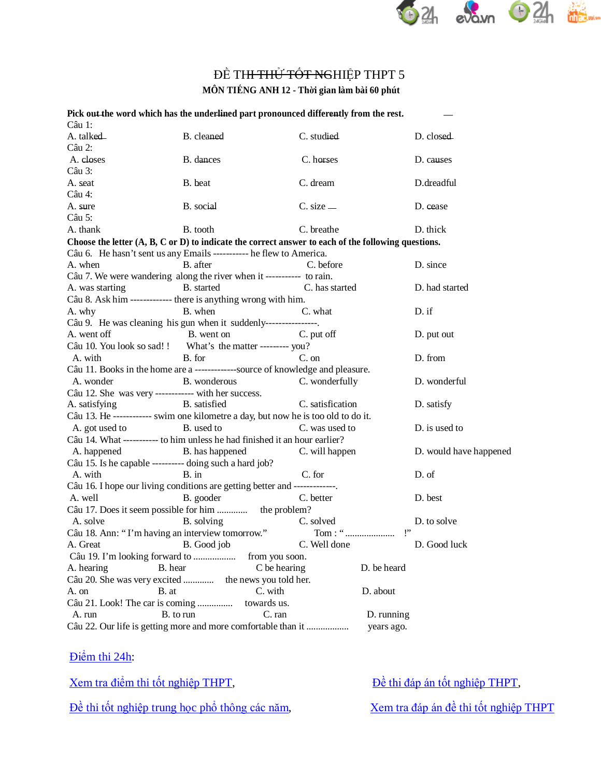

## ĐỀ TH<del>I THỦ TỐT NG</del>HIỆP THPT 5

**MÔN TIẾNG ANH 12 - Thời gian làm bài 60 phút**

|                                                               |                                                                            | Pick out the word which has the underlined part pronounced differently from the rest.                          |                        |
|---------------------------------------------------------------|----------------------------------------------------------------------------|----------------------------------------------------------------------------------------------------------------|------------------------|
| Câu 1:                                                        |                                                                            |                                                                                                                |                        |
| A. talked                                                     | B. cleaned                                                                 | C. studied                                                                                                     | D. closed              |
| Câu 2:                                                        |                                                                            |                                                                                                                |                        |
| A. closes                                                     | B. dances                                                                  | C. horses                                                                                                      | D. causes              |
| Câu 3:                                                        |                                                                            |                                                                                                                |                        |
| A. seat                                                       | B. beat                                                                    | C. dream                                                                                                       | D.dreadful             |
| Câu 4:                                                        |                                                                            |                                                                                                                |                        |
| A. sure                                                       | B. social                                                                  | $C. size$ —                                                                                                    | D. cease               |
| Câu 5:                                                        |                                                                            |                                                                                                                |                        |
| A. thank                                                      | B. tooth                                                                   | C. breathe                                                                                                     | D. thick               |
|                                                               |                                                                            | Choose the letter $(A, B, C \text{ or } D)$ to indicate the correct answer to each of the following questions. |                        |
|                                                               | Câu 6. He hasn't sent us any Emails ----------- he flew to America.        |                                                                                                                |                        |
| A. when                                                       | B. after                                                                   | C. before                                                                                                      | D. since               |
|                                                               | Câu 7. We were wandering along the river when it ----------- to rain.      |                                                                                                                |                        |
| A. was starting                                               | B. started                                                                 | C. has started                                                                                                 | D. had started         |
|                                                               | Câu 8. Ask him ------------- there is anything wrong with him.             |                                                                                                                |                        |
| A. why                                                        | B. when                                                                    | C. what                                                                                                        | D. if                  |
|                                                               | Câu 9. He was cleaning his gun when it suddenly----------------.           |                                                                                                                |                        |
| A. went off                                                   | B. went on                                                                 | C. put off                                                                                                     | D. put out             |
|                                                               | Câu 10. You look so sad!! What's the matter --------- you?                 |                                                                                                                |                        |
| A. with                                                       | B. for                                                                     | $C.$ on                                                                                                        | D. from                |
|                                                               |                                                                            | Câu 11. Books in the home are a -------------source of knowledge and pleasure.                                 |                        |
| A. wonder                                                     | B. wonderous                                                               | C. wonderfully                                                                                                 | D. wonderful           |
|                                                               | Câu 12. She was very ------------ with her success.                        |                                                                                                                |                        |
| A. satisfying                                                 | B. satisfied                                                               | C. satisfication                                                                                               | D. satisfy             |
|                                                               |                                                                            | Câu 13. He ------------ swim one kilometre a day, but now he is too old to do it.                              |                        |
| A. got used to                                                | B. used to                                                                 | C. was used to                                                                                                 | D. is used to          |
|                                                               | Câu 14. What ----------- to him unless he had finished it an hour earlier? |                                                                                                                |                        |
| A. happened                                                   | B. has happened                                                            | C. will happen                                                                                                 | D. would have happened |
|                                                               | Câu 15. Is he capable ---------- doing such a hard job?                    |                                                                                                                |                        |
| A. with                                                       | $B.$ in                                                                    | C. for                                                                                                         | D. of                  |
|                                                               | Câu 16. I hope our living conditions are getting better and -------------. |                                                                                                                |                        |
| A. well                                                       | B. gooder                                                                  | C. better                                                                                                      | D. best                |
|                                                               | Câu 17. Does it seem possible for him  the problem?                        |                                                                                                                |                        |
| A. solve                                                      | B. solving                                                                 | C. solved                                                                                                      | D. to solve            |
|                                                               | Câu 18. Ann: "I'm having an interview tomorrow."                           | Tom: "                                                                                                         | P                      |
| A. Great                                                      | B. Good job                                                                | C. Well done                                                                                                   | D. Good luck           |
|                                                               |                                                                            | from you soon.                                                                                                 |                        |
| A. hearing                                                    | B. hear                                                                    | C be hearing                                                                                                   | D. be heard            |
|                                                               | Câu 20. She was very excited  the news you told her.                       |                                                                                                                |                        |
| A. on                                                         | B. at                                                                      | C. with                                                                                                        | D. about               |
| Câu 21. Look! The car is coming                               |                                                                            | towards us.                                                                                                    |                        |
| A. run                                                        | B. to run                                                                  | C. ran                                                                                                         | D. running             |
| Câu 22. Our life is getting more and more comfortable than it |                                                                            |                                                                                                                | years ago.             |
|                                                               |                                                                            |                                                                                                                |                        |

Điể[m thi 24h:](http://diemthi.24h.com.vn/dap-an-de-thi-thpt/)

Đề thi tốt nghiệp trung học phổ [thông các năm](http://diemthi.24h.com.vn/dap-an-de-thi-thpt/),<br>[Xem tra đáp án đề](http://diemthi.24h.com.vn/dap-an-de-thi-thpt/) thi tốt nghiệp THPT

[Xem tra điể](http://diemthi.24h.com.vn/diem-thi-tot-nghiep-thpt/)m thi tốt nghiệp THPT,<br> $\frac{\partial}{\partial t}$  [thi đáp án tố](http://diemthi.24h.com.vn/dap-an-de-thi-thpt/)t nghiệp THPT,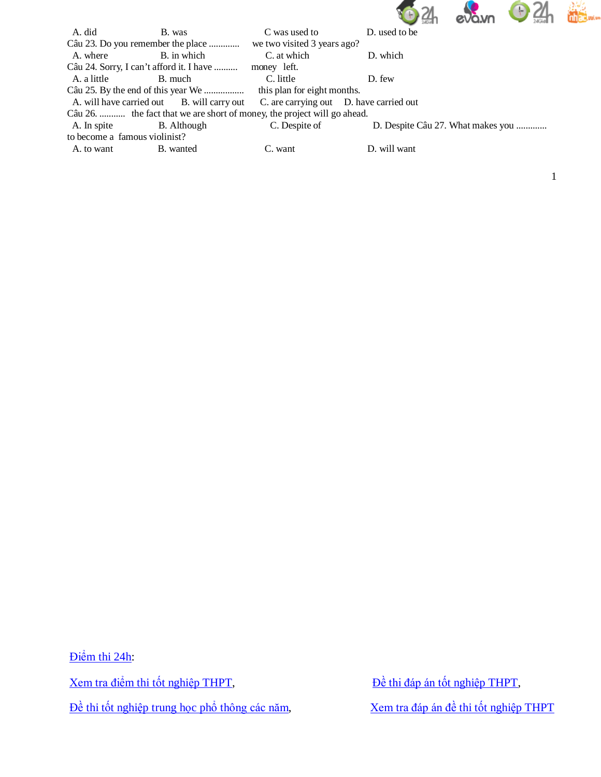

1

| A. did                                                                   | B. was                                                                             |                             | D. used to be                     |  |  |  |  |
|--------------------------------------------------------------------------|------------------------------------------------------------------------------------|-----------------------------|-----------------------------------|--|--|--|--|
|                                                                          | Câu 23. Do you remember the place                                                  | we two visited 3 years ago? |                                   |  |  |  |  |
| A. where                                                                 | B. in which                                                                        | C. at which                 | D. which                          |  |  |  |  |
|                                                                          | Câu 24. Sorry, I can't afford it. I have                                           | money left.                 |                                   |  |  |  |  |
| A. a little                                                              | B. much                                                                            | C. little                   | D. few                            |  |  |  |  |
|                                                                          |                                                                                    | this plan for eight months. |                                   |  |  |  |  |
|                                                                          | A. will have carried out B. will carry out C. are carrying out D. have carried out |                             |                                   |  |  |  |  |
| Câu 26.  the fact that we are short of money, the project will go ahead. |                                                                                    |                             |                                   |  |  |  |  |
| A. In spite                                                              | B. Although                                                                        | C. Despite of               | D. Despite Câu 27. What makes you |  |  |  |  |
| to become a famous violinist?                                            |                                                                                    |                             |                                   |  |  |  |  |
| A. to want                                                               | B. wanted                                                                          | C. want                     | D. will want                      |  |  |  |  |
|                                                                          |                                                                                    |                             |                                   |  |  |  |  |

Điể[m thi 24h:](http://diemthi.24h.com.vn/dap-an-de-thi-thpt/) [Xem tra điể](http://diemthi.24h.com.vn/diem-thi-tot-nghiep-thpt/)m thi tốt nghiệp THPT,<br> $\frac{\partial}{\partial t}$  [thi đáp án tố](http://diemthi.24h.com.vn/dap-an-de-thi-thpt/)t nghiệp THPT,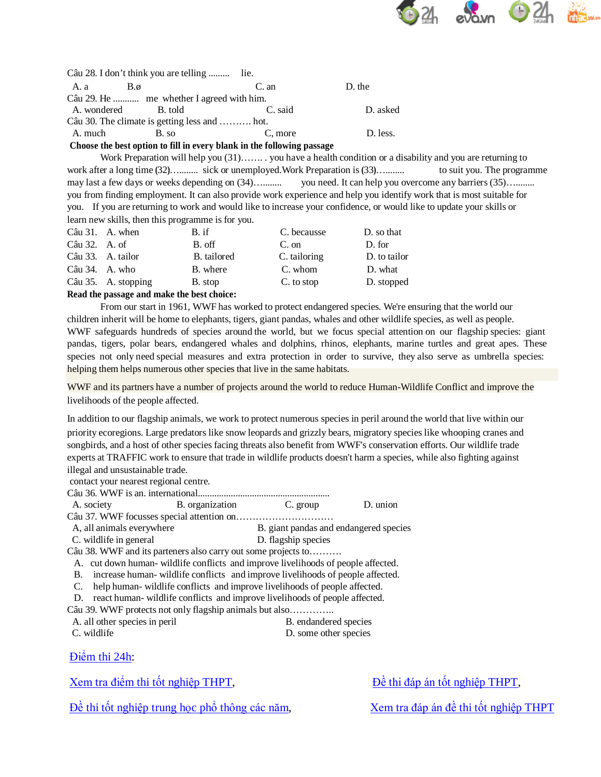

|                                               | Câu 28. I don't think you are telling  lie. |                                                                                 |          |  |  |  |  |  |
|-----------------------------------------------|---------------------------------------------|---------------------------------------------------------------------------------|----------|--|--|--|--|--|
| - A. a                                        | $B.\emptyset$                               | C. an                                                                           | D. the   |  |  |  |  |  |
|                                               | Câu 29. He  me whether I agreed with him.   |                                                                                 |          |  |  |  |  |  |
| A. wondered                                   | B. told                                     | C. said                                                                         | D. asked |  |  |  |  |  |
| Câu 30. The climate is getting less and  hot. |                                             |                                                                                 |          |  |  |  |  |  |
| A. much                                       | B. so                                       | C. more                                                                         | D. less. |  |  |  |  |  |
|                                               |                                             | $\alpha$ . The contract of the contract of $\alpha$ is the contract of $\alpha$ |          |  |  |  |  |  |

Choose the best option to fill in every blank in the following passage

Work Preparation will help you (31)....... you have a health condition or a disability and you are returning to work after a long time (32)........... sick or unemployed. Work Preparation is (33)........... to suit you. The programme you need. It can help you overcome any barriers (35).......... may last a few days or weeks depending on (34)........... you from finding employment. It can also provide work experience and help you identify work that is most suitable for you. If you are returning to work and would like to increase your confidence, or would like to update your skills or learn new skills, then this programme is for you.

|                | $C\hat{a}u$ 31. A. when | B. if       | C. becausse  | D. so that   |
|----------------|-------------------------|-------------|--------------|--------------|
| Câu 32. A. of  |                         | B. off      | C. on        | D. for       |
|                | Câu 33. A. tailor       | B. tailored | C. tailoring | D. to tailor |
| Câu 34. A. who |                         | B. where    | C. whom      | D. what      |
|                | Câu 35. A. stopping     | B. stop     | C. to stop   | D. stopped   |
|                |                         |             |              |              |

Read the passage and make the best choice:

From our start in 1961, WWF has worked to protect endangered species. We're ensuring that the world our children inherit will be home to elephants, tigers, giant pandas, whales and other wildlife species, as well as people. WWF safeguards hundreds of species around the world, but we focus special attention on our flagship species: giant pandas, tigers, polar bears, endangered whales and dolphins, rhinos, elephants, marine turtles and great apes. These species not only need special measures and extra protection in order to survive, they also serve as umbrella species: helping them helps numerous other species that live in the same habitats.

WWF and its partners have a number of projects around the world to reduce Human-Wildlife Conflict and improve the livelihoods of the people affected.

In addition to our flagship animals, we work to protect numerous species in peril around the world that live within our priority ecoregions. Large predators like snow leopards and grizzly bears, migratory species like whooping cranes and songbirds, and a host of other species facing threats also benefit from WWF's conservation efforts. Our wildlife trade experts at TRAFFIC work to ensure that trade in wildlife products doesn't harm a species, while also fighting against illegal and unsustainable trade.

 $\Gamma$  group

contact your nearest regional centre.

 $\Lambda$  society R organization

| <b>TY.</b> SUCILLY        | $\mu$ , organization                                                            | $\mathcal{L}$ . grup                   | $\nu$ . univii |
|---------------------------|---------------------------------------------------------------------------------|----------------------------------------|----------------|
|                           |                                                                                 |                                        |                |
| A, all animals everywhere |                                                                                 | B. giant pandas and endangered species |                |
| C. wildlife in general    |                                                                                 | D. flagship species                    |                |
|                           | Câu 38. WWF and its parteners also carry out some projects to                   |                                        |                |
|                           | A cut down human, wildlife conflicts and improve livelihoods of people affected |                                        |                |

A. cut down human-wildlife conflicts and improve livelihoods of people affected.

B. increase human-wildlife conflicts and improve livelihoods of people affected. C. help human-wildlife conflicts and improve livelihoods of people affected.

D. react human-wildlife conflicts and improve livelihoods of people affected.

Câu 39. WWF protects not only flagship animals but also..............

A. all other species in peril

C. wildlife

B. endandered species D. some other species

 $D$  union

Điệm thi 24h:

Xem tra điểm thi tốt nghiệp THPT,

Đề thi đáp án tốt nghiệp THPT,

Đề thi tốt nghiệp trung học phổ thông các năm,

Xem tra đáp án đề thi tốt nghiệp THPT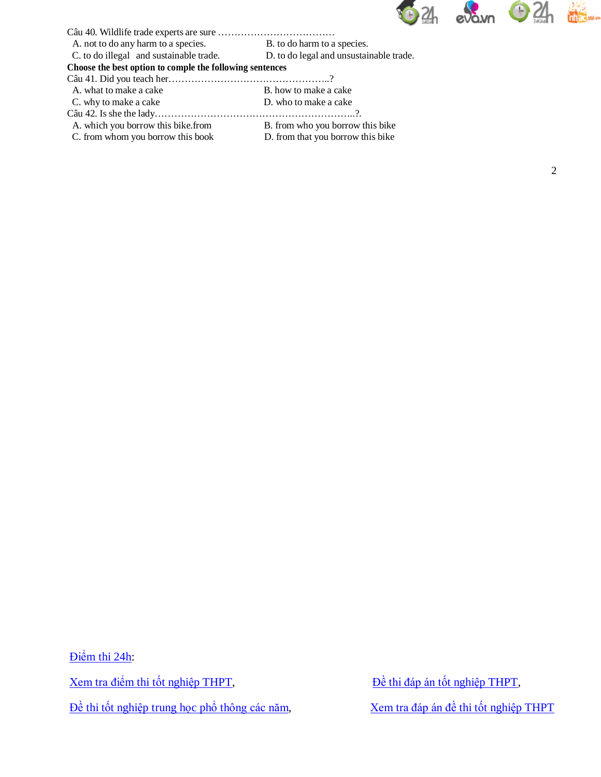

| B. to do harm to a species.                              |  |  |  |  |  |  |  |  |
|----------------------------------------------------------|--|--|--|--|--|--|--|--|
| D. to do legal and unsustainable trade.                  |  |  |  |  |  |  |  |  |
| Choose the best option to comple the following sentences |  |  |  |  |  |  |  |  |
|                                                          |  |  |  |  |  |  |  |  |
| B, how to make a cake                                    |  |  |  |  |  |  |  |  |
| D. who to make a cake                                    |  |  |  |  |  |  |  |  |
|                                                          |  |  |  |  |  |  |  |  |
| B. from who you borrow this bike                         |  |  |  |  |  |  |  |  |
| D. from that you borrow this bike                        |  |  |  |  |  |  |  |  |
|                                                          |  |  |  |  |  |  |  |  |

Điể[m thi 24h:](http://diemthi.24h.com.vn/dap-an-de-thi-thpt/) [Xem tra điể](http://diemthi.24h.com.vn/diem-thi-tot-nghiep-thpt/)m thi tốt nghiệp THPT,<br> $\frac{\partial}{\partial t}$  [thi đáp án tố](http://diemthi.24h.com.vn/dap-an-de-thi-thpt/)t nghiệp THPT,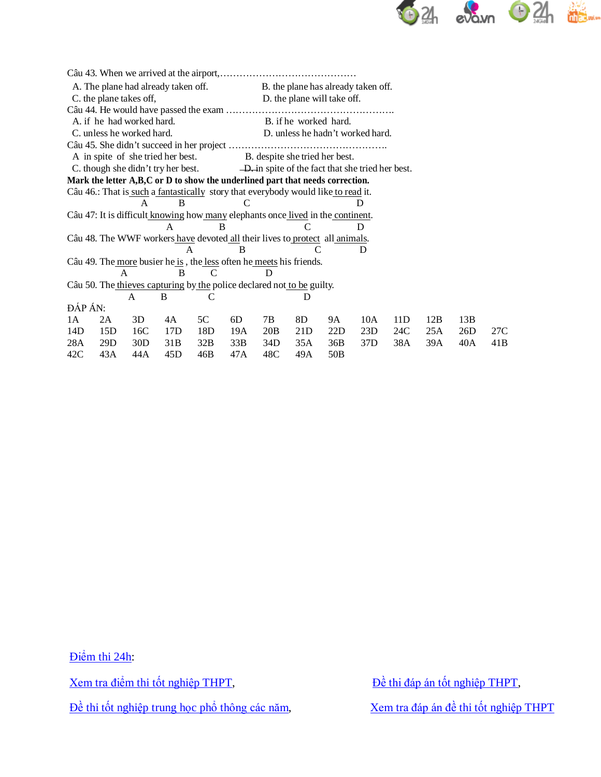

| A. The plane had already taken off. |                           |                |                                                                                   |               |     | B. the plane has already taken off. |                                                   |     |                 |     |     |     |     |
|-------------------------------------|---------------------------|----------------|-----------------------------------------------------------------------------------|---------------|-----|-------------------------------------|---------------------------------------------------|-----|-----------------|-----|-----|-----|-----|
| C. the plane takes off,             |                           |                |                                                                                   |               |     |                                     | D. the plane will take off.                       |     |                 |     |     |     |     |
|                                     |                           |                |                                                                                   |               |     |                                     |                                                   |     |                 |     |     |     |     |
|                                     | A. if he had worked hard. |                |                                                                                   |               |     | B. if he worked hard.               |                                                   |     |                 |     |     |     |     |
|                                     | C. unless he worked hard. |                |                                                                                   |               |     |                                     | D. unless he hadn't worked hard.                  |     |                 |     |     |     |     |
|                                     |                           |                |                                                                                   |               |     |                                     |                                                   |     |                 |     |     |     |     |
|                                     |                           |                | A in spite of she tried her best.                                                 |               |     |                                     | B. despite she tried her best.                    |     |                 |     |     |     |     |
|                                     |                           |                | C. though she didn't try her best.                                                |               |     |                                     | -D. in spite of the fact that she tried her best. |     |                 |     |     |     |     |
|                                     |                           |                | Mark the letter A,B,C or D to show the underlined part that needs correction.     |               |     |                                     |                                                   |     |                 |     |     |     |     |
|                                     |                           |                | Câu 46.: That is such a fantastically story that everybody would like to read it. |               |     |                                     |                                                   |     |                 |     |     |     |     |
|                                     |                           | A              | <sub>B</sub>                                                                      |               |     |                                     |                                                   |     |                 |     |     |     |     |
|                                     |                           |                | Câu 47: It is difficult knowing how many elephants once lived in the continent.   |               |     |                                     |                                                   |     |                 |     |     |     |     |
|                                     |                           |                | A                                                                                 | B             |     |                                     | C                                                 |     | D               |     |     |     |     |
|                                     |                           |                | Câu 48. The WWF workers have devoted all their lives to protect all animals.      |               |     |                                     |                                                   |     |                 |     |     |     |     |
|                                     |                           |                | A                                                                                 |               | B   |                                     |                                                   |     | D               |     |     |     |     |
|                                     |                           |                | Câu 49. The more busier he is, the less often he meets his friends.               |               |     |                                     |                                                   |     |                 |     |     |     |     |
|                                     |                           | $\overline{A}$ | <sub>B</sub>                                                                      | $\mathcal{C}$ |     | D                                   |                                                   |     |                 |     |     |     |     |
|                                     |                           |                | Câu 50. The thieves capturing by the police declared not to be guilty.            |               |     |                                     |                                                   |     |                 |     |     |     |     |
|                                     |                           | A              | B                                                                                 | C             |     |                                     | D                                                 |     |                 |     |     |     |     |
| ĐÁP ÁN:                             |                           |                |                                                                                   |               |     |                                     |                                                   |     |                 |     |     |     |     |
| 1A                                  | 2A                        | 3D             | 4A                                                                                | 5C            | 6D  | 7B                                  | 8D                                                | 9A  | 10A             | 11D | 12B | 13B |     |
| 14D                                 | 15D                       | 16C            | 17D                                                                               | 18D           | 19A | 20B                                 | 21 <sub>D</sub>                                   | 22D | 23D             | 24C | 25A | 26D | 27C |
| 28A                                 | 29D                       | 30D            | 31 <sub>B</sub>                                                                   | 32B           | 33B | 34D                                 | 35A                                               | 36B | 37 <sub>D</sub> | 38A | 39A | 40A | 41B |
| 42C                                 | 43A                       | 44 A           | 45D                                                                               | 46B           | 47A | 48C                                 | 49A                                               | 50B |                 |     |     |     |     |

Điể[m thi 24h:](http://diemthi.24h.com.vn/dap-an-de-thi-thpt/)

[Xem tra điể](http://diemthi.24h.com.vn/diem-thi-tot-nghiep-thpt/)m thi tốt nghiệp THPT,<br> $\frac{\partial}{\partial t}$  [thi đáp án tố](http://diemthi.24h.com.vn/dap-an-de-thi-thpt/)t nghiệp THPT,